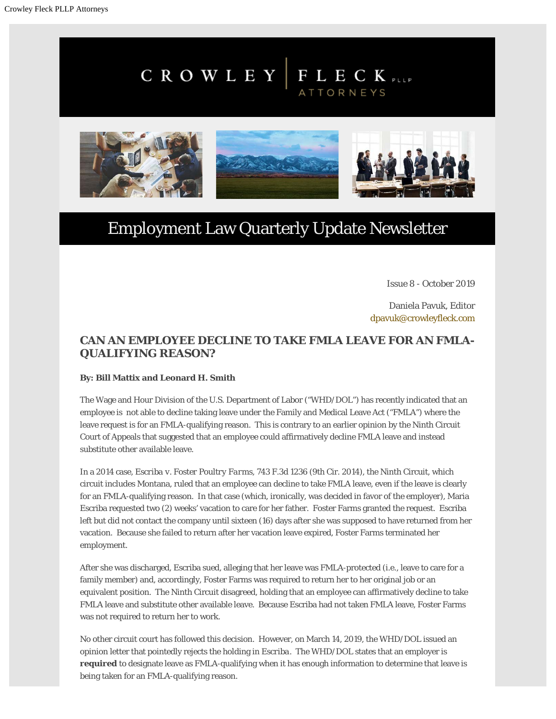# $C$  R O W L E Y | F L E C K PLLP ATTORNEYS



# Employment Law Quarterly Update Newsletter

Issue 8 - October 2019

Daniela Pavuk, Editor [dpavuk@crowleyfleck.com](mailto:dpavuk@crowleyfleck.com)

## **CAN AN EMPLOYEE DECLINE TO TAKE FMLA LEAVE FOR AN FMLA-QUALIFYING REASON?**

#### **By: Bill Mattix and Leonard H. Smith**

The Wage and Hour Division of the U.S. Department of Labor ("WHD/DOL") has recently indicated that an employee is not able to decline taking leave under the Family and Medical Leave Act ("FMLA") where the leave request is for an FMLA-qualifying reason. This is contrary to an earlier opinion by the Ninth Circuit Court of Appeals that suggested that an employee could affirmatively decline FMLA leave and instead substitute other available leave.

In a 2014 case, *Escriba v. Foster Poultry Farms*, 743 F.3d 1236 (9th Cir. 2014), the Ninth Circuit, which circuit includes Montana, ruled that an employee can decline to take FMLA leave, even if the leave is clearly for an FMLA-qualifying reason. In that case (which, ironically, was decided in favor of the employer), Maria Escriba requested two (2) weeks' vacation to care for her father. Foster Farms granted the request. Escriba left but did not contact the company until sixteen (16) days after she was supposed to have returned from her vacation. Because she failed to return after her vacation leave expired, Foster Farms terminated her employment.

After she was discharged, Escriba sued, alleging that her leave was FMLA-protected (i.e., leave to care for a family member) and, accordingly, Foster Farms was required to return her to her original job or an equivalent position. The Ninth Circuit disagreed, holding that an employee can affirmatively decline to take FMLA leave and substitute other available leave. Because Escriba had not taken FMLA leave, Foster Farms was not required to return her to work.

No other circuit court has followed this decision. However, on March 14, 2019, the WHD/DOL issued an opinion letter that pointedly rejects the holding in *Escriba.* The WHD/DOL states that an employer is **required** to designate leave as FMLA-qualifying when it has enough information to determine that leave is being taken for an FMLA-qualifying reason.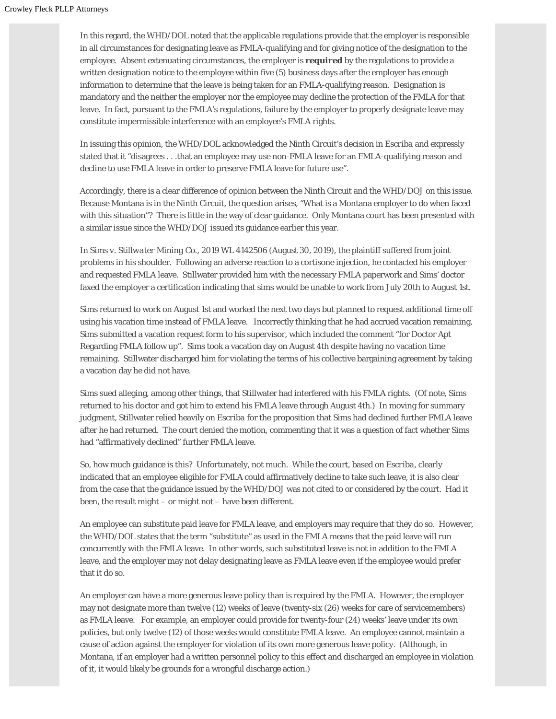In this regard, the WHD/DOL noted that the applicable regulations provide that the employer is responsible in all circumstances for designating leave as FMLA-qualifying and for giving notice of the designation to the employee. Absent extenuating circumstances, the employer is *required* by the regulations to provide a written designation notice to the employee within five (5) business days after the employer has enough information to determine that the leave is being taken for an FMLA-qualifying reason. Designation is mandatory and the neither the employer nor the employee may decline the protection of the FMLA for that leave. In fact, pursuant to the FMLA's regulations, failure by the employer to properly designate leave may constitute impermissible interference with an employee's FMLA rights.

In issuing this opinion, the WHD/DOL acknowledged the Ninth Circuit's decision in *Escriba* and expressly stated that it "disagrees . . .that an employee may use non-FMLA leave for an FMLA-qualifying reason and decline to use FMLA leave in order to preserve FMLA leave for future use".

Accordingly, there is a clear difference of opinion between the Ninth Circuit and the WHD/DOJ on this issue. Because Montana is in the Ninth Circuit, the question arises, "What is a Montana employer to do when faced with this situation"? There is little in the way of clear guidance. Only Montana court has been presented with a similar issue since the WHD/DOJ issued its guidance earlier this year.

In *Sims v. Stillwater Mining Co*., 2019 WL 4142506 (August 30, 2019), the plaintiff suffered from joint problems in his shoulder. Following an adverse reaction to a cortisone injection, he contacted his employer and requested FMLA leave. Stillwater provided him with the necessary FMLA paperwork and Sims' doctor faxed the employer a certification indicating that sims would be unable to work from July 20th to August 1st.

Sims returned to work on August 1st and worked the next two days but planned to request additional time off using his vacation time instead of FMLA leave. Incorrectly thinking that he had accrued vacation remaining, Sims submitted a vacation request form to his supervisor, which included the comment "for Doctor Apt Regarding FMLA follow up". Sims took a vacation day on August 4th despite having no vacation time remaining. Stillwater discharged him for violating the terms of his collective bargaining agreement by taking a vacation day he did not have.

Sims sued alleging, among other things, that Stillwater had interfered with his FMLA rights. (Of note, Sims returned to his doctor and got him to extend his FMLA leave through August 4th.) In moving for summary judgment, Stillwater relied heavily on *Escriba* for the proposition that Sims had declined further FMLA leave after he had returned. The court denied the motion, commenting that it was a question of fact whether Sims had "affirmatively declined" further FMLA leave.

So, how much guidance is this? Unfortunately, not much. While the court, based on *Escriba*, clearly indicated that an employee eligible for FMLA could affirmatively decline to take such leave, it is also clear from the case that the guidance issued by the WHD/DOJ was not cited to or considered by the court. Had it been, the result might – or might not – have been different.

An employee can substitute paid leave for FMLA leave, and employers may require that they do so. However, the WHD/DOL states that the term "substitute" as used in the FMLA means that the paid leave will run concurrently with the FMLA leave. In other words, such substituted leave is not in addition to the FMLA leave, and the employer may not delay designating leave as FMLA leave even if the employee would prefer that it do so.

An employer can have a more generous leave policy than is required by the FMLA. However, the employer may not designate more than twelve (12) weeks of leave (twenty-six (26) weeks for care of servicemembers) as FMLA leave. For example, an employer could provide for twenty-four (24) weeks' leave under its own policies, but only twelve (12) of those weeks would constitute FMLA leave. An employee cannot maintain a cause of action against the employer for violation of its own more generous leave policy. (Although, in Montana, if an employer had a written personnel policy to this effect and discharged an employee in violation of it, it would likely be grounds for a wrongful discharge action.)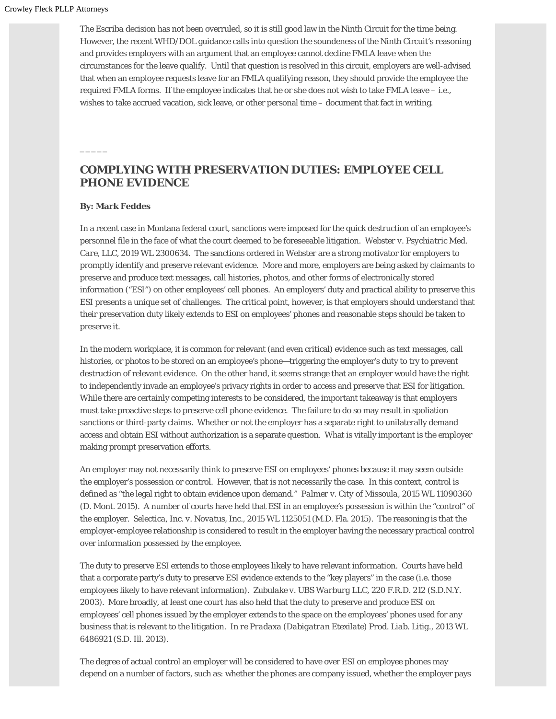The *Escriba* decision has not been overruled, so it is still good law in the Ninth Circuit for the time being. However, the recent WHD/DOL guidance calls into question the soundeness of the Ninth Circuit's reasoning and provides employers with an argument that an employee cannot decline FMLA leave when the circumstances for the leave qualify. Until that question is resolved in this circuit, employers are well-advised that when an employee requests leave for an FMLA qualifying reason, they should provide the employee the required FMLA forms. If the employee indicates that he or she does not wish to take FMLA leave – i.e., wishes to take accrued vacation, sick leave, or other personal time – document that fact in writing.

### **COMPLYING WITH PRESERVATION DUTIES: EMPLOYEE CELL PHONE EVIDENCE**

#### **By: Mark Feddes**

 $\overline{\phantom{a}}$ 

In a recent case in Montana federal court, sanctions were imposed for the quick destruction of an employee's personnel file in the face of what the court deemed to be foreseeable litigation. *Webster v. Psychiatric Med. Care, LLC*, 2019 WL 2300634. The sanctions ordered in *Webster* are a strong motivator for employers to promptly identify and preserve relevant evidence. More and more, employers are being asked by claimants to preserve and produce text messages, call histories, photos, and other forms of electronically stored information ("ESI") on other employees' cell phones. An employers' duty and practical ability to preserve this ESI presents a unique set of challenges. The critical point, however, is that employers should understand that their preservation duty likely extends to ESI on employees' phones and reasonable steps should be taken to preserve it.

In the modern workplace, it is common for relevant (and even critical) evidence such as text messages, call histories, or photos to be stored on an employee's phone—triggering the employer's duty to try to prevent destruction of relevant evidence. On the other hand, it seems strange that an employer would have the right to independently invade an employee's privacy rights in order to access and preserve that ESI for litigation. While there are certainly competing interests to be considered, the important takeaway is that employers must take proactive steps to preserve cell phone evidence. The failure to do so may result in spoliation sanctions or third-party claims. Whether or not the employer has a separate right to unilaterally demand access and obtain ESI without authorization is a separate question. What is vitally important is the employer making prompt preservation efforts.

An employer may not necessarily think to preserve ESI on employees' phones because it may seem outside the employer's possession or control. However, that is not necessarily the case. In this context, control is defined as "the legal right to obtain evidence upon demand." *Palmer v. City of Missoula*, 2015 WL 11090360 (D. Mont. 2015). A number of courts have held that ESI in an employee's possession is within the "control" of the employer. *Selectica, Inc. v. Novatus, Inc*., 2015 WL 1125051 (M.D. Fla. 2015). The reasoning is that the employer-employee relationship is considered to result in the employer having the necessary practical control over information possessed by the employee.

The duty to preserve ESI extends to those employees likely to have relevant information. Courts have held that a corporate party's duty to preserve ESI evidence extends to the "key players" in the case (i.e. those employees likely to have relevant information). *Zubulake v. UBS Warburg LLC*, 220 F.R.D. 212 (S.D.N.Y. 2003). More broadly, at least one court has also held that the duty to preserve and produce ESI on employees' cell phones issued by the employer extends to the space on the employees' phones used for any business that is relevant to the litigation. *In re Pradaxa (Dabigatran Etexilate) Prod. Liab. Litig*., 2013 WL 6486921 (S.D. Ill. 2013).

The degree of actual control an employer will be considered to have over ESI on employee phones may depend on a number of factors, such as: whether the phones are company issued, whether the employer pays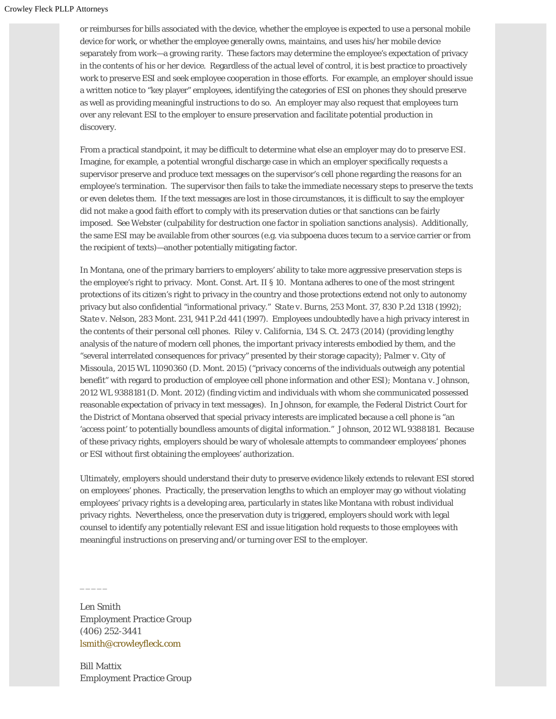or reimburses for bills associated with the device, whether the employee is expected to use a personal mobile device for work, or whether the employee generally owns, maintains, and uses his/her mobile device separately from work—a growing rarity. These factors may determine the employee's expectation of privacy in the contents of his or her device. Regardless of the actual level of control, it is best practice to proactively work to preserve ESI and seek employee cooperation in those efforts. For example, an employer should issue a written notice to "key player" employees, identifying the categories of ESI on phones they should preserve as well as providing meaningful instructions to do so. An employer may also request that employees turn over any relevant ESI to the employer to ensure preservation and facilitate potential production in discovery.

From a practical standpoint, it may be difficult to determine what else an employer may do to preserve ESI. Imagine, for example, a potential wrongful discharge case in which an employer specifically requests a supervisor preserve and produce text messages on the supervisor's cell phone regarding the reasons for an employee's termination. The supervisor then fails to take the immediate necessary steps to preserve the texts or even deletes them. If the text messages are lost in those circumstances, it is difficult to say the employer did not make a good faith effort to comply with its preservation duties or that sanctions can be fairly imposed. *See Webster* (culpability for destruction one factor in spoliation sanctions analysis). Additionally, the same ESI may be available from other sources (e.g. via subpoena duces tecum to a service carrier or from the recipient of texts)—another potentially mitigating factor.

In Montana, one of the primary barriers to employers' ability to take more aggressive preservation steps is the employee's right to privacy. Mont. Const. Art. II § 10. Montana adheres to one of the most stringent protections of its citizen's right to privacy in the country and those protections extend not only to autonomy privacy but also confidential "informational privacy." *State v. Burns*, 253 Mont. 37, 830 P.2d 1318 (1992); *State v. Nelson*, 283 Mont. 231, 941 P.2d 441 (1997). Employees undoubtedly have a high privacy interest in the contents of their personal cell phones. *Riley v. California*, 134 S. Ct. 2473 (2014) (providing lengthy analysis of the nature of modern cell phones, the important privacy interests embodied by them, and the "several interrelated consequences for privacy" presented by their storage capacity); *Palmer v. City of Missoula*, 2015 WL 11090360 (D. Mont. 2015) ("privacy concerns of the individuals outweigh any potential benefit" with regard to production of employee cell phone information and other ESI); *Montana v. Johnson*, 2012 WL 9388181 (D. Mont. 2012) (finding victim and individuals with whom she communicated possessed reasonable expectation of privacy in text messages). In *Johnson*, for example, the Federal District Court for the District of Montana observed that special privacy interests are implicated because a cell phone is "an 'access point' to potentially boundless amounts of digital information." *Johnson*, 2012 WL 9388181. Because of these privacy rights, employers should be wary of wholesale attempts to commandeer employees' phones or ESI without first obtaining the employees' authorization.

Ultimately, employers should understand their duty to preserve evidence likely extends to relevant ESI stored on employees' phones. Practically, the preservation lengths to which an employer may go without violating employees' privacy rights is a developing area, particularly in states like Montana with robust individual privacy rights. Nevertheless, once the preservation duty is triggered, employers should work with legal counsel to identify any potentially relevant ESI and issue litigation hold requests to those employees with meaningful instructions on preserving and/or turning over ESI to the employer.

Len Smith Employment Practice Group (406) 252-3441 [lsmith@crowleyfleck.com](mailto:lsmith@crowleyfleck.com)

 $\overline{\phantom{a}}$ 

Bill Mattix Employment Practice Group